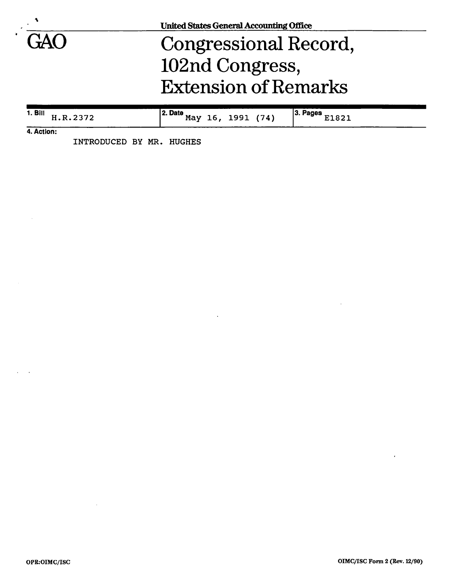

# Congressional Record, 102nd Congress, Extension of Remarks

| <b>1. Bill</b><br>п.к. | 2. Date<br>May | '74)<br>1991 | 13. F<br>Pages<br><b>000</b> |
|------------------------|----------------|--------------|------------------------------|
| .                      |                |              |                              |

**4. Action:** 

INTRODUCED BY MR. HUGHES